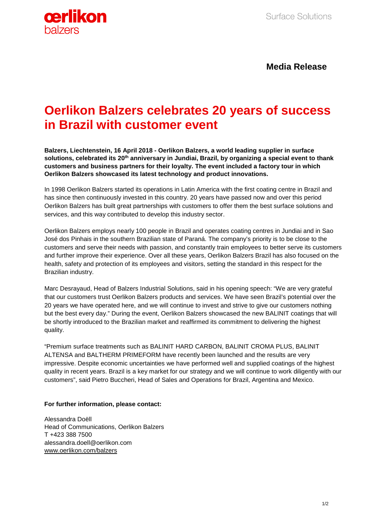

**Media Release**

## **Oerlikon Balzers celebrates 20 years of success in Brazil with customer event**

**Balzers, Liechtenstein, 16 April 2018 - Oerlikon Balzers, a world leading supplier in surface solutions, celebrated its 20th anniversary in Jundiai, Brazil, by organizing a special event to thank customers and business partners for their loyalty. The event included a factory tour in which Oerlikon Balzers showcased its latest technology and product innovations.**

In 1998 Oerlikon Balzers started its operations in Latin America with the first coating centre in Brazil and has since then continuously invested in this country. 20 years have passed now and over this period Oerlikon Balzers has built great partnerships with customers to offer them the best surface solutions and services, and this way contributed to develop this industry sector.

Oerlikon Balzers employs nearly 100 people in Brazil and operates coating centres in Jundiai and in Sao José dos Pinhais in the southern Brazilian state of Paraná. The company's priority is to be close to the customers and serve their needs with passion, and constantly train employees to better serve its customers and further improve their experience. Over all these years, Oerlikon Balzers Brazil has also focused on the health, safety and protection of its employees and visitors, setting the standard in this respect for the Brazilian industry.

Marc Desrayaud, Head of Balzers Industrial Solutions, said in his opening speech: "We are very grateful that our customers trust Oerlikon Balzers products and services. We have seen Brazil's potential over the 20 years we have operated here, and we will continue to invest and strive to give our customers nothing but the best every day." During the event, Oerlikon Balzers showcased the new BALINIT coatings that will be shortly introduced to the Brazilian market and reaffirmed its commitment to delivering the highest quality.

"Premium surface treatments such as BALINIT HARD CARBON, BALINIT CROMA PLUS, BALINIT ALTENSA and BALTHERM PRIMEFORM have recently been launched and the results are very impressive. Despite economic uncertainties we have performed well and supplied coatings of the highest quality in recent years. Brazil is a key market for our strategy and we will continue to work diligently with our customers", said Pietro Buccheri, Head of Sales and Operations for Brazil, Argentina and Mexico.

## **For further information, please contact:**

Alessandra Doëll Head of Communications, Oerlikon Balzers T +423 388 7500 alessandra.doell@oerlikon.com [www.oerlikon.com/balzers](http://www.oerlikon.com/balzers)